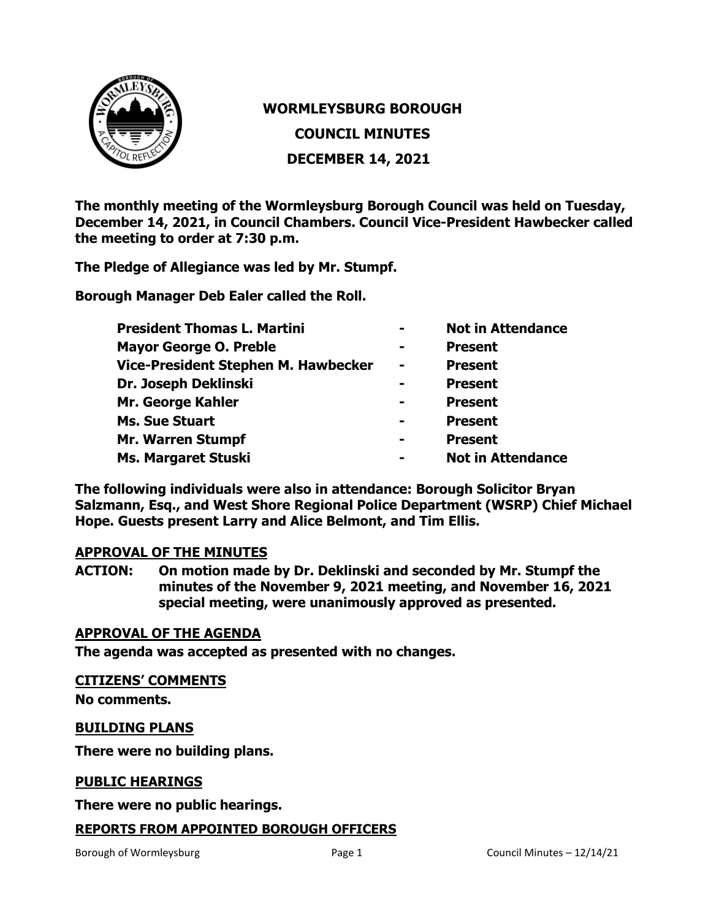

# **WORMLEYSBURG BOROUGH**

**COUNCIL MINUTES**

**DECEMBER 14, 2021**

**The monthly meeting of the Wormleysburg Borough Council was held on Tuesday, December 14, 2021, in Council Chambers. Council Vice-President Hawbecker called the meeting to order at 7:30 p.m.**

**The Pledge of Allegiance was led by Mr. Stumpf.**

**Borough Manager Deb Ealer called the Roll.**

| <b>President Thomas L. Martini</b>  | $\blacksquare$ | <b>Not in Attendance</b> |
|-------------------------------------|----------------|--------------------------|
| <b>Mayor George O. Preble</b>       | $\blacksquare$ | <b>Present</b>           |
| Vice-President Stephen M. Hawbecker | $\blacksquare$ | <b>Present</b>           |
| Dr. Joseph Deklinski                | $\blacksquare$ | <b>Present</b>           |
| Mr. George Kahler                   | $\blacksquare$ | <b>Present</b>           |
| <b>Ms. Sue Stuart</b>               | -              | <b>Present</b>           |
| <b>Mr. Warren Stumpf</b>            |                | <b>Present</b>           |
| <b>Ms. Margaret Stuski</b>          | $\blacksquare$ | <b>Not in Attendance</b> |

**The following individuals were also in attendance: Borough Solicitor Bryan Salzmann, Esq., and West Shore Regional Police Department (WSRP) Chief Michael Hope. Guests present Larry and Alice Belmont, and Tim Ellis.** 

## **APPROVAL OF THE MINUTES**

**ACTION: On motion made by Dr. Deklinski and seconded by Mr. Stumpf the minutes of the November 9, 2021 meeting, and November 16, 2021 special meeting, were unanimously approved as presented.**

#### **APPROVAL OF THE AGENDA**

**The agenda was accepted as presented with no changes.**

#### **CITIZENS' COMMENTS**

**No comments.**

#### **BUILDING PLANS**

**There were no building plans.** 

#### **PUBLIC HEARINGS**

**There were no public hearings.**

## **REPORTS FROM APPOINTED BOROUGH OFFICERS**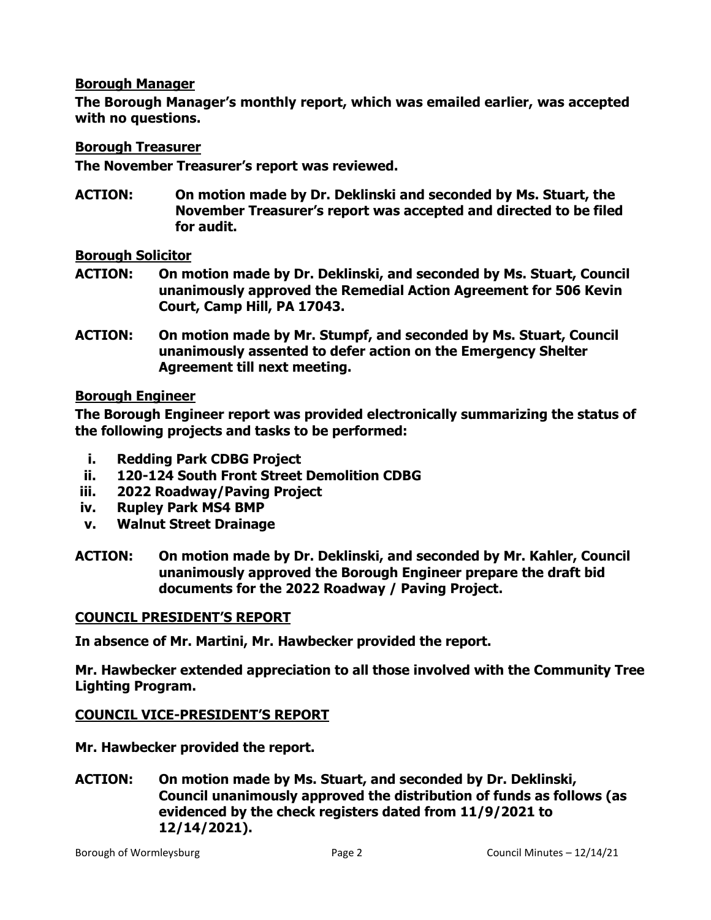#### **Borough Manager**

**The Borough Manager's monthly report, which was emailed earlier, was accepted with no questions.**

## **Borough Treasurer**

**The November Treasurer's report was reviewed.**

**ACTION: On motion made by Dr. Deklinski and seconded by Ms. Stuart, the November Treasurer's report was accepted and directed to be filed for audit.**

**Borough Solicitor**

- **ACTION: On motion made by Dr. Deklinski, and seconded by Ms. Stuart, Council unanimously approved the Remedial Action Agreement for 506 Kevin Court, Camp Hill, PA 17043.**
- **ACTION: On motion made by Mr. Stumpf, and seconded by Ms. Stuart, Council unanimously assented to defer action on the Emergency Shelter Agreement till next meeting.**

## **Borough Engineer**

**The Borough Engineer report was provided electronically summarizing the status of the following projects and tasks to be performed:**

- **i. Redding Park CDBG Project**
- **ii. 120-124 South Front Street Demolition CDBG**
- **iii. 2022 Roadway/Paving Project**
- **iv. Rupley Park MS4 BMP**
- **v. Walnut Street Drainage**
- **ACTION: On motion made by Dr. Deklinski, and seconded by Mr. Kahler, Council unanimously approved the Borough Engineer prepare the draft bid documents for the 2022 Roadway / Paving Project.**

## **COUNCIL PRESIDENT'S REPORT**

**In absence of Mr. Martini, Mr. Hawbecker provided the report.**

**Mr. Hawbecker extended appreciation to all those involved with the Community Tree Lighting Program.**

## **COUNCIL VICE-PRESIDENT'S REPORT**

**Mr. Hawbecker provided the report.**

**ACTION: On motion made by Ms. Stuart, and seconded by Dr. Deklinski, Council unanimously approved the distribution of funds as follows (as evidenced by the check registers dated from 11/9/2021 to 12/14/2021).**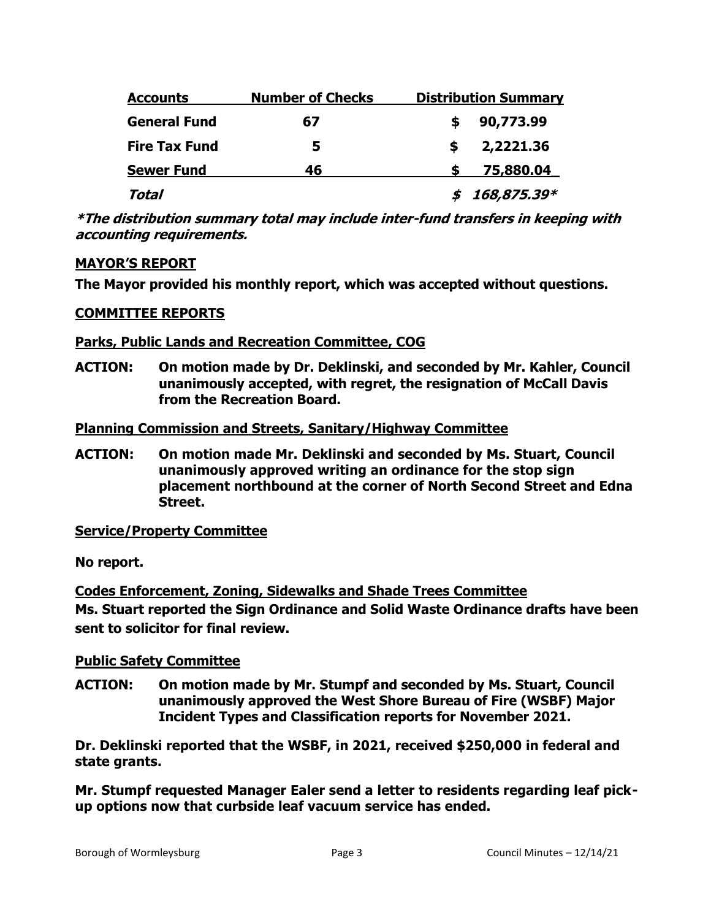| <b>Accounts</b>      | <b>Number of Checks</b> | <b>Distribution Summary</b> |
|----------------------|-------------------------|-----------------------------|
| <b>General Fund</b>  | 67                      | 90,773.99                   |
| <b>Fire Tax Fund</b> | 5                       | 2,2221.36                   |
| <b>Sewer Fund</b>    | 46                      | 75,880.04                   |
| Total                |                         | 168,875.39*                 |

**\*The distribution summary total may include inter-fund transfers in keeping with accounting requirements.** 

# **MAYOR'S REPORT**

**The Mayor provided his monthly report, which was accepted without questions.** 

## **COMMITTEE REPORTS**

## **Parks, Public Lands and Recreation Committee, COG**

**ACTION: On motion made by Dr. Deklinski, and seconded by Mr. Kahler, Council unanimously accepted, with regret, the resignation of McCall Davis from the Recreation Board.**

## **Planning Commission and Streets, Sanitary/Highway Committee**

**ACTION: On motion made Mr. Deklinski and seconded by Ms. Stuart, Council unanimously approved writing an ordinance for the stop sign placement northbound at the corner of North Second Street and Edna Street.**

**Service/Property Committee**

**No report.**

**Codes Enforcement, Zoning, Sidewalks and Shade Trees Committee Ms. Stuart reported the Sign Ordinance and Solid Waste Ordinance drafts have been sent to solicitor for final review.**

# **Public Safety Committee**

**ACTION: On motion made by Mr. Stumpf and seconded by Ms. Stuart, Council unanimously approved the West Shore Bureau of Fire (WSBF) Major Incident Types and Classification reports for November 2021.** 

**Dr. Deklinski reported that the WSBF, in 2021, received \$250,000 in federal and state grants.**

**Mr. Stumpf requested Manager Ealer send a letter to residents regarding leaf pickup options now that curbside leaf vacuum service has ended.**